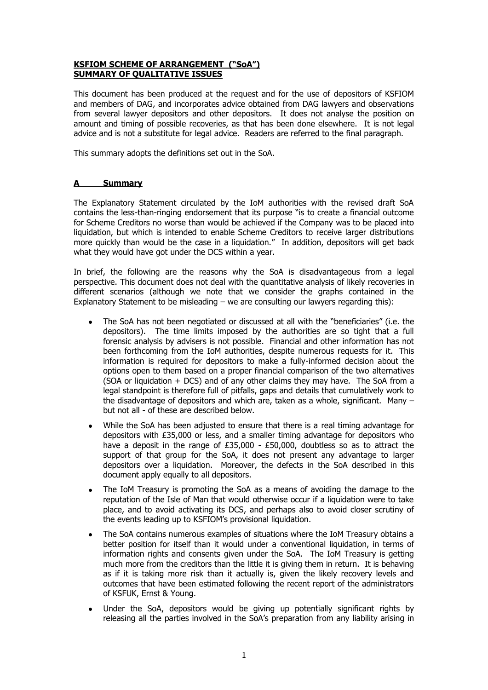# **KSFIOM SCHEME OF ARRANGEMENT ("SoA") SUMMARY OF QUALITATIVE ISSUES**

This document has been produced at the request and for the use of depositors of KSFIOM and members of DAG, and incorporates advice obtained from DAG lawyers and observations from several lawyer depositors and other depositors. It does not analyse the position on amount and timing of possible recoveries, as that has been done elsewhere. It is not legal advice and is not a substitute for legal advice. Readers are referred to the final paragraph.

This summary adopts the definitions set out in the SoA.

#### **Summary**  $\mathbf{A}$

The Explanatory Statement circulated by the IoM authorities with the revised draft SoA contains the less-than-ringing endorsement that its purpose "is to create a financial outcome for Scheme Creditors no worse than would be achieved if the Company was to be placed into liquidation, but which is intended to enable Scheme Creditors to receive larger distributions more quickly than would be the case in a liquidation." In addition, depositors will get back what they would have got under the DCS within a year.

In brief, the following are the reasons why the SoA is disadvantageous from a legal perspective. This document does not deal with the quantitative analysis of likely recoveries in different scenarios (although we note that we consider the graphs contained in the Explanatory Statement to be misleading - we are consulting our lawyers regarding this):

- The SoA has not been negotiated or discussed at all with the "beneficiaries" (i.e. the depositors). The time limits imposed by the authorities are so tight that a full forensic analysis by advisers is not possible. Financial and other information has not been forthcoming from the IoM authorities, despite numerous requests for it. This information is required for depositors to make a fully-informed decision about the options open to them based on a proper financial comparison of the two alternatives (SOA or liquidation  $+$  DCS) and of any other claims they may have. The SoA from a legal standpoint is therefore full of pitfalls, gaps and details that cumulatively work to the disadvantage of depositors and which are, taken as a whole, significant. Many but not all - of these are described below.
- While the SoA has been adjusted to ensure that there is a real timing advantage for depositors with £35,000 or less, and a smaller timing advantage for depositors who have a deposit in the range of £35,000 - £50,000, doubtless so as to attract the support of that group for the SoA, it does not present any advantage to larger depositors over a liquidation. Moreover, the defects in the SoA described in this document apply equally to all depositors.
- The IoM Treasury is promoting the SoA as a means of avoiding the damage to the reputation of the Isle of Man that would otherwise occur if a liquidation were to take place, and to avoid activating its DCS, and perhaps also to avoid closer scrutiny of the events leading up to KSFIOM's provisional liquidation.
- The SoA contains numerous examples of situations where the IoM Treasury obtains a better position for itself than it would under a conventional liquidation, in terms of information rights and consents given under the SoA. The IoM Treasury is getting much more from the creditors than the little it is giving them in return. It is behaving as if it is taking more risk than it actually is, given the likely recovery levels and outcomes that have been estimated following the recent report of the administrators of KSFUK, Ernst & Young.
- Under the SoA, depositors would be giving up potentially significant rights by releasing all the parties involved in the SoA's preparation from any liability arising in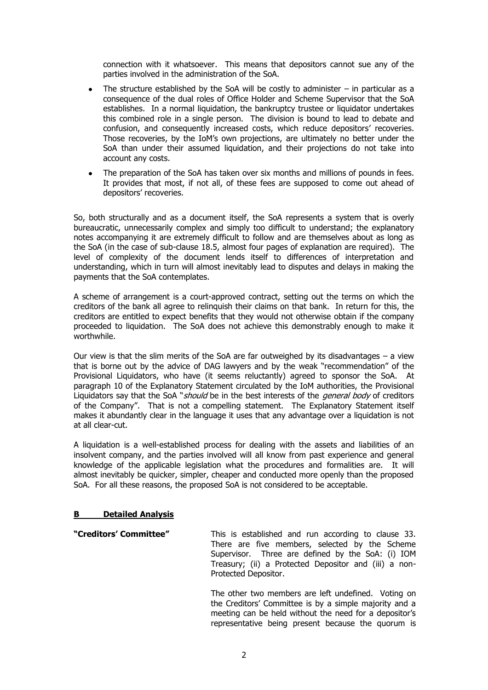connection with it whatsoever. This means that depositors cannot sue any of the parties involved in the administration of the SoA.

- The structure established by the SoA will be costly to administer  $-$  in particular as a consequence of the dual roles of Office Holder and Scheme Supervisor that the SoA establishes. In a normal liquidation, the bankruptcy trustee or liquidator undertakes this combined role in a single person. The division is bound to lead to debate and confusion, and consequently increased costs, which reduce depositors' recoveries. Those recoveries, by the IoM's own projections, are ultimately no better under the SoA than under their assumed liquidation, and their projections do not take into account any costs.
- The preparation of the SoA has taken over six months and millions of pounds in fees. It provides that most, if not all, of these fees are supposed to come out ahead of depositors' recoveries.

So, both structurally and as a document itself, the SoA represents a system that is overly bureaucratic, unnecessarily complex and simply too difficult to understand; the explanatory notes accompanying it are extremely difficult to follow and are themselves about as long as the SoA (in the case of sub-clause 18.5, almost four pages of explanation are required). The level of complexity of the document lends itself to differences of interpretation and understanding, which in turn will almost inevitably lead to disputes and delays in making the payments that the SoA contemplates.

A scheme of arrangement is a court-approved contract, setting out the terms on which the creditors of the bank all agree to relinguish their claims on that bank. In return for this, the creditors are entitled to expect benefits that they would not otherwise obtain if the company proceeded to liquidation. The SoA does not achieve this demonstrably enough to make it worthwhile.

Our view is that the slim merits of the SoA are far outweighed by its disadvantages  $-$  a view that is borne out by the advice of DAG lawyers and by the weak "recommendation" of the Provisional Liquidators, who have (it seems reluctantly) agreed to sponsor the SoA. At paragraph 10 of the Explanatory Statement circulated by the IoM authorities, the Provisional Liquidators say that the SoA "should be in the best interests of the general body of creditors of the Company". That is not a compelling statement. The Explanatory Statement itself makes it abundantly clear in the language it uses that any advantage over a liquidation is not at all clear-cut.

A liquidation is a well-established process for dealing with the assets and liabilities of an insolvent company, and the parties involved will all know from past experience and general knowledge of the applicable legislation what the procedures and formalities are. It will almost inevitably be quicker, simpler, cheaper and conducted more openly than the proposed SoA. For all these reasons, the proposed SoA is not considered to be acceptable.

#### **Detailed Analysis B**

"Creditors' Committee" This is established and run according to clause 33. There are five members, selected by the Scheme Supervisor. Three are defined by the SoA: (i) IOM Treasury; (ii) a Protected Depositor and (iii) a non-Protected Depositor.

> The other two members are left undefined. Voting on the Creditors' Committee is by a simple majority and a meeting can be held without the need for a depositor's representative being present because the quorum is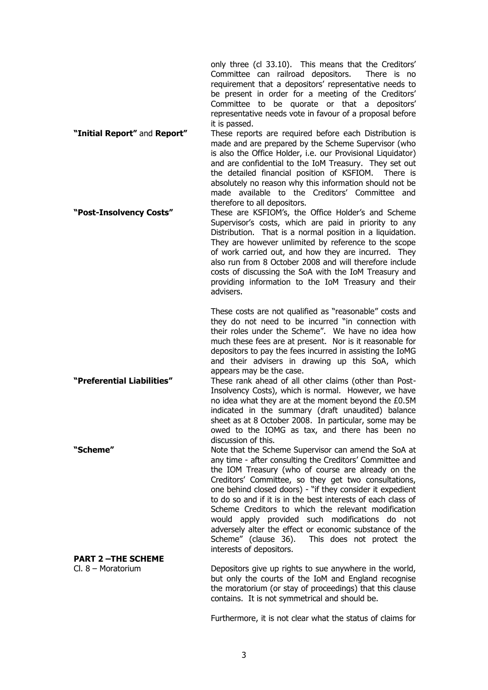only three (cl 33.10). This means that the Creditors' Committee can railroad depositors. There is no requirement that a depositors' representative needs to be present in order for a meeting of the Creditors' Committee to be quorate or that a depositors' representative needs vote in favour of a proposal before it is passed.

"Initial Report" and Report" These reports are required before each Distribution is made and are prepared by the Scheme Supervisor (who is also the Office Holder, i.e. our Provisional Liquidator) and are confidential to the IoM Treasury. They set out the detailed financial position of KSFIOM. There is absolutely no reason why this information should not be made available to the Creditors' Committee and therefore to all depositors.

"Post-Insolvency Costs" These are KSFIOM's, the Office Holder's and Scheme Supervisor's costs, which are paid in priority to any Distribution. That is a normal position in a liquidation. They are however unlimited by reference to the scope of work carried out, and how they are incurred. They also run from 8 October 2008 and will therefore include costs of discussing the SoA with the IoM Treasury and providing information to the IoM Treasury and their advisers.

> These costs are not qualified as "reasonable" costs and they do not need to be incurred "in connection with their roles under the Scheme". We have no idea how much these fees are at present. Nor is it reasonable for depositors to pay the fees incurred in assisting the IoMG and their advisers in drawing up this SoA, which appears may be the case.

"Preferential Liabilities" These rank ahead of all other claims (other than Post-Insolvency Costs), which is normal. However, we have no idea what they are at the moment beyond the £0.5M indicated in the summary (draft unaudited) balance sheet as at 8 October 2008. In particular, some may be owed to the IOMG as tax, and there has been no discussion of this. "Scheme" Note that the Scheme Supervisor can amend the SoA at

any time - after consulting the Creditors' Committee and the IOM Treasury (who of course are already on the Creditors' Committee, so they get two consultations, one behind closed doors) - "if they consider it expedient to do so and if it is in the best interests of each class of Scheme Creditors to which the relevant modification would apply provided such modifications do not adversely alter the effect or economic substance of the This does not protect the Scheme" (clause 36). interests of depositors.

## **PART 2-THE SCHEME**

 $Cl. 8 - Moratorium$ 

Depositors give up rights to sue anywhere in the world, but only the courts of the IoM and England recognise the moratorium (or stay of proceedings) that this clause contains. It is not symmetrical and should be.

Furthermore, it is not clear what the status of claims for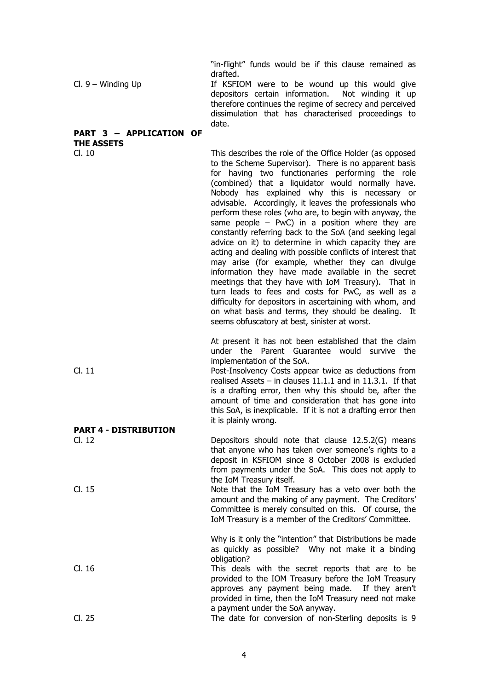"in-flight" funds would be if this clause remained as drafted.

If KSFIOM were to be wound up this would give  $Cl. 9 - Winding Up$ depositors certain information. Not winding it up therefore continues the regime of secrecy and perceived dissimulation that has characterised proceedings to date.

## PART 3 - APPLICATION OF **THE ASSETS**

 $CL 10$ 

 $CL.11$ 

**PART 4 - DISTRIBUTION** 

This describes the role of the Office Holder (as opposed to the Scheme Supervisor). There is no apparent basis for having two functionaries performing the role (combined) that a liquidator would normally have. Nobody has explained why this is necessary or advisable. Accordingly, it leaves the professionals who perform these roles (who are, to begin with anyway, the same people  $-$  PwC) in a position where they are constantly referring back to the SoA (and seeking legal advice on it) to determine in which capacity they are acting and dealing with possible conflicts of interest that may arise (for example, whether they can divulge information they have made available in the secret meetings that they have with IoM Treasury). That in turn leads to fees and costs for PwC, as well as a difficulty for depositors in ascertaining with whom, and on what basis and terms, they should be dealing. It seems obfuscatory at best, sinister at worst.

At present it has not been established that the claim under the Parent Guarantee would survive the implementation of the SoA.

Post-Insolvency Costs appear twice as deductions from realised Assets  $-$  in clauses 11.1.1 and in 11.3.1. If that is a drafting error, then why this should be, after the amount of time and consideration that has gone into this SoA, is inexplicable. If it is not a drafting error then it is plainly wrong.

Depositors should note that clause 12.5.2(G) means  $CL.12$ that anyone who has taken over someone's rights to a deposit in KSFIOM since 8 October 2008 is excluded from payments under the SoA. This does not apply to the IoM Treasury itself. Cl. 15 Note that the IoM Treasury has a veto over both the

amount and the making of any payment. The Creditors' Committee is merely consulted on this. Of course, the IoM Treasury is a member of the Creditors' Committee.

Why is it only the "intention" that Distributions be made as quickly as possible? Why not make it a binding obligation?

 $Cl. 16$ This deals with the secret reports that are to be provided to the IOM Treasury before the IoM Treasury approves any payment being made. If they aren't provided in time, then the IoM Treasury need not make a payment under the SoA anyway.  $Cl. 25$ The date for conversion of non-Sterling deposits is 9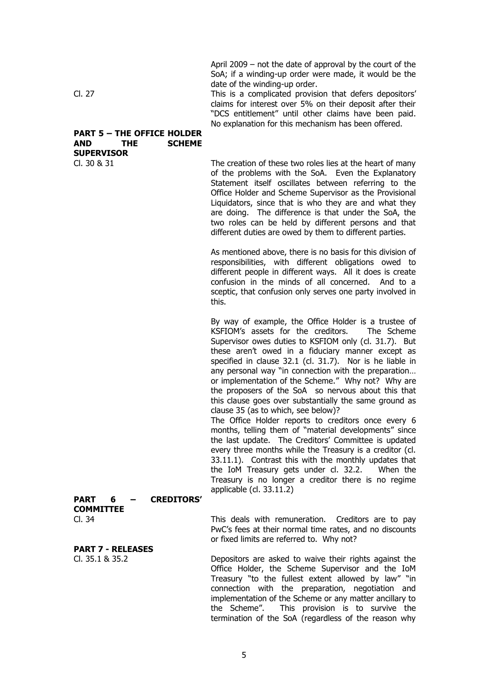April 2009  $-$  not the date of approval by the court of the SoA; if a winding-up order were made, it would be the date of the winding-up order.

This is a complicated provision that defers depositors' claims for interest over 5% on their deposit after their "DCS entitlement" until other claims have been paid. No explanation for this mechanism has been offered.

### **PART 5 - THE OFFICE HOLDER AND THE SCHEME SUPERVISOR**

 $Cl. 30 & 31$ 

Cl. 27

The creation of these two roles lies at the heart of many of the problems with the SoA. Even the Explanatory Statement itself oscillates between referring to the Office Holder and Scheme Supervisor as the Provisional Liquidators, since that is who they are and what they are doing. The difference is that under the SoA, the two roles can be held by different persons and that different duties are owed by them to different parties.

As mentioned above, there is no basis for this division of responsibilities, with different obligations owed to different people in different ways. All it does is create confusion in the minds of all concerned. And to a sceptic, that confusion only serves one party involved in this.

By way of example, the Office Holder is a trustee of KSFIOM's assets for the creditors. The Scheme Supervisor owes duties to KSFIOM only (cl. 31.7). But these aren't owed in a fiduciary manner except as specified in clause 32.1 (cl. 31.7). Nor is he liable in any personal way "in connection with the preparation... or implementation of the Scheme." Why not? Why are the proposers of the SoA so nervous about this that this clause goes over substantially the same ground as clause 35 (as to which, see below)?

The Office Holder reports to creditors once every 6 months, telling them of "material developments" since the last update. The Creditors' Committee is updated every three months while the Treasury is a creditor (cl. 33.11.1). Contrast this with the monthly updates that the IoM Treasury gets under cl. 32.2. When the Treasury is no longer a creditor there is no regime applicable (cl.  $33.11.2$ )

### **PART CREDITORS'** 6 **COMMITTEE**  $CL.34$

**PART 7 - RELEASES**  $Cl. 35.1 & 35.2$ 

This deals with remuneration. Creditors are to pay PwC's fees at their normal time rates, and no discounts or fixed limits are referred to. Why not?

Depositors are asked to waive their rights against the Office Holder, the Scheme Supervisor and the IoM Treasury "to the fullest extent allowed by law" "in connection with the preparation, negotiation and implementation of the Scheme or any matter ancillary to the Scheme". This provision is to survive the termination of the SoA (regardless of the reason why